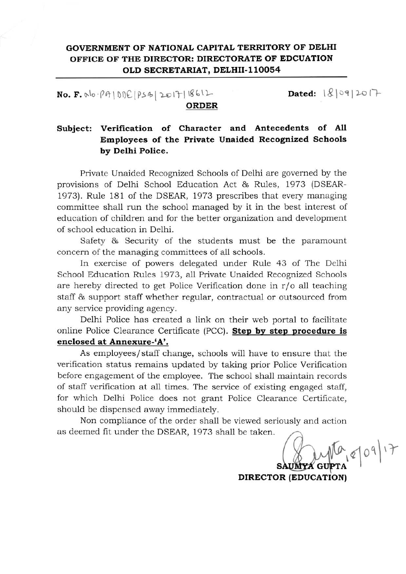## GOVERNMENT OF NATIONALCAPITAL TERRITORY OF DELHI OFFICE OF THE DIRECTOR: DIRECTORATE OF EDCUATION OLD SECRETARIAT, DELHII-llOOS4

 $NO.$  F.  $N_0 \cdot \rho A | D D E | P S B | 2017 | 18611$ 

 $Dated: |&|09|20|+$ 

### ORDER

# Subject: **Verification of Character and Antecedents** of All **Employees of the Private Unaided Recognized Schools** by Delhi Police.

Private Unaided Recognized Schools of Delhi are governed by the provisions of Delhi School Education Act & Rules, 1973 (DSEAR-1973). Rule 181 of the DSEAR, 1973 prescribes that every managing committee shall run the school managed by it in the best interest of education of children and for the better organization and development of school education **in** Delhi.

Safety & Security of the students must be the paramount concern of the managing committees of all schools.

In exercise of powers delegated under Rule 43 of The Delhi School Education Rules 1973, all Private Unaided Recognized Schools are hereby directed to get Police Verification done in  $r/\sigma$  all teaching staff & support staff whether regular, contractual or outsourced from any service providing agency.

Delhi Police has created a link on their web portal to facilitate online Police Clearance Certificate (PCC). **Step by step procedure is enclosed at Annexure-'A'.**

As employees/staff change, schools will have to ensure that the verification status remains updated by taking prior Police Verification before engagement of the employee. The school shall maintain records of staff verification at all times. The service of existing engaged staff, for which Delhi Police does not grant Police Clearance Certificate, should be dispensed away immediately.

Non compliance of the order shall be viewed seriously and action as deemed fit under the DSEAR, 1973 shall be taken.

 $0.810917$ SAUMYA G

DIRECTOR (EDUCATION)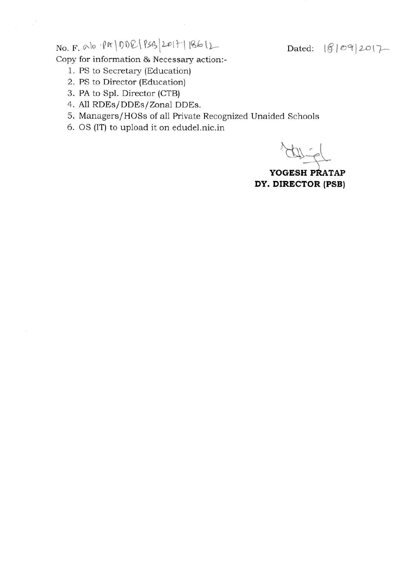No. F. <sup>010</sup> .pI\"\ I)l)~ \ *~'>f;\*U>Ir\ \'6(, \1-- Dated: \g It!J"r \ 2..0\7.-

**Copy for information & Necessary action:-**

- 1. PS to Secretary (Education)
- **2. PS to Director (Education)**
- 3. PA to Spl. Director (CTB)
- 4. All RDEs/DDEs/Zonal DDEs.
- **5. ManagersjHOSs of all Private Recognized Unaided Schools**
- 6. OS (IT) to upload it on edudel.nic.in

 $44.40$ 

YOGESH PRATAP **DY. DIRECTOR (PSB)**